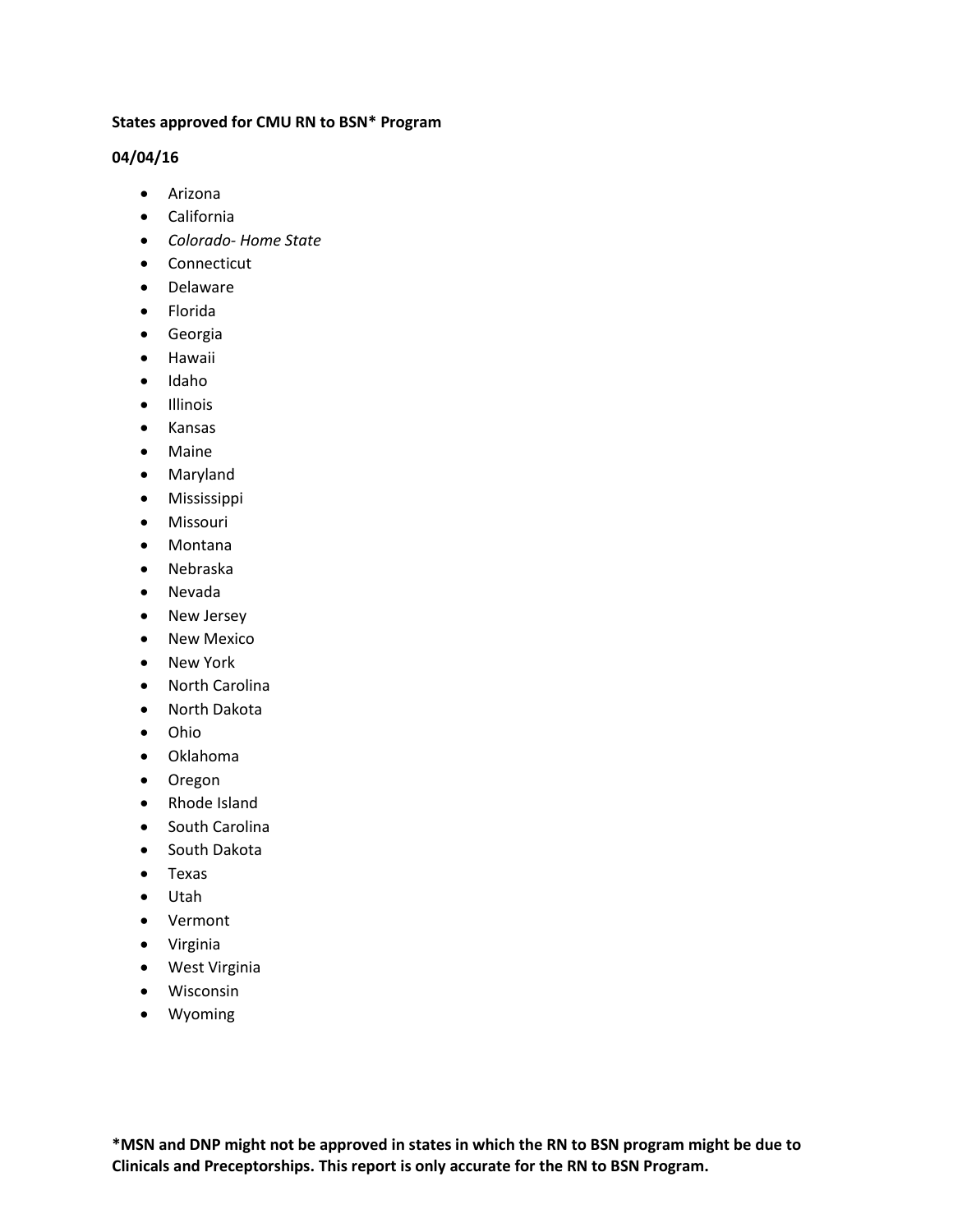## **States approved for CMU RN to BSN\* Program**

## **04/04/16**

- Arizona
- California
- *Colorado- Home State*
- Connecticut
- Delaware
- Florida
- **•** Georgia
- Hawaii
- Idaho
- Illinois
- Kansas
- Maine
- Maryland
- Mississippi
- Missouri
- Montana
- Nebraska
- Nevada
- New Jersey
- New Mexico
- New York
- North Carolina
- North Dakota
- Ohio
- Oklahoma
- Oregon
- Rhode Island
- South Carolina
- South Dakota
- Texas
- Utah
- Vermont
- Virginia
- West Virginia
- Wisconsin
- Wyoming

**\*MSN and DNP might not be approved in states in which the RN to BSN program might be due to Clinicals and Preceptorships. This report is only accurate for the RN to BSN Program.**